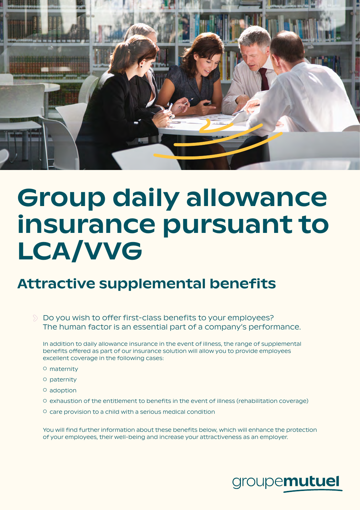

# Group daily allowance insurance pursuant to LCA/VVG

## Attractive supplemental benefits

 $\Diamond$  Do you wish to offer first-class benefits to your employees? The human factor is an essential part of a company's performance.

In addition to daily allowance insurance in the event of illness, the range of supplemental benefits offered as part of our insurance solution will allow you to provide employees excellent coverage in the following cases:

- maternity
- paternity
- adoption
- exhaustion of the entitlement to benefits in the event of illness (rehabilitation coverage)
- care provision to a child with a serious medical condition

You will find further information about these benefits below, which will enhance the protection of your employees, their well-being and increase your attractiveness as an employer.